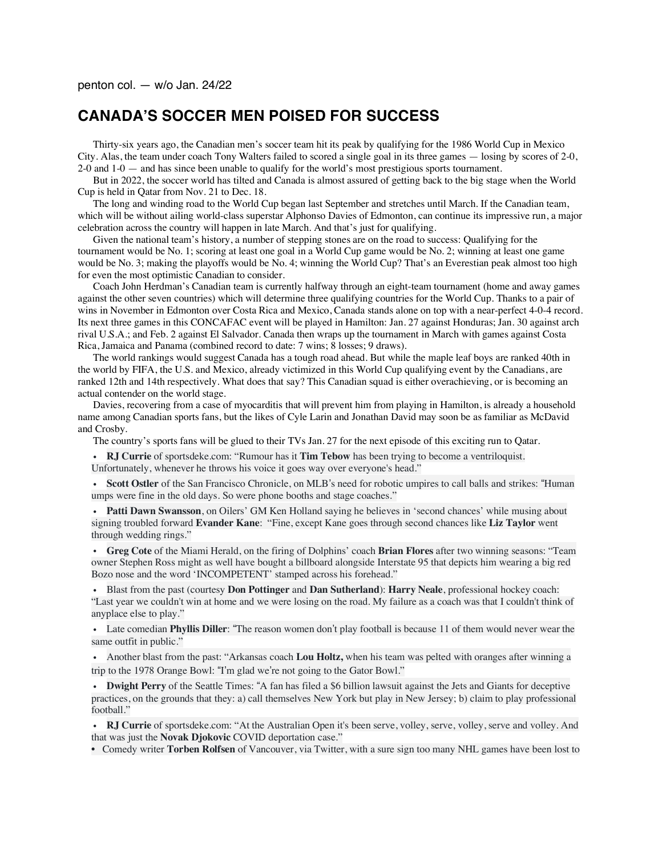## **CANADA'S SOCCER MEN POISED FOR SUCCESS**

Thirty-six years ago, the Canadian men's soccer team hit its peak by qualifying for the 1986 World Cup in Mexico City. Alas, the team under coach Tony Walters failed to scored a single goal in its three games — losing by scores of 2-0, 2-0 and 1-0 — and has since been unable to qualify for the world's most prestigious sports tournament.

But in 2022, the soccer world has tilted and Canada is almost assured of getting back to the big stage when the World Cup is held in Qatar from Nov. 21 to Dec. 18.

The long and winding road to the World Cup began last September and stretches until March. If the Canadian team, which will be without ailing world-class superstar Alphonso Davies of Edmonton, can continue its impressive run, a major celebration across the country will happen in late March. And that's just for qualifying.

Given the national team's history, a number of stepping stones are on the road to success: Qualifying for the tournament would be No. 1; scoring at least one goal in a World Cup game would be No. 2; winning at least one game would be No. 3; making the playoffs would be No. 4; winning the World Cup? That's an Everestian peak almost too high for even the most optimistic Canadian to consider.

Coach John Herdman's Canadian team is currently halfway through an eight-team tournament (home and away games against the other seven countries) which will determine three qualifying countries for the World Cup. Thanks to a pair of wins in November in Edmonton over Costa Rica and Mexico, Canada stands alone on top with a near-perfect 4-0-4 record. Its next three games in this CONCAFAC event will be played in Hamilton: Jan. 27 against Honduras; Jan. 30 against arch rival U.S.A.; and Feb. 2 against El Salvador. Canada then wraps up the tournament in March with games against Costa Rica, Jamaica and Panama (combined record to date: 7 wins; 8 losses; 9 draws).

The world rankings would suggest Canada has a tough road ahead. But while the maple leaf boys are ranked 40th in the world by FIFA, the U.S. and Mexico, already victimized in this World Cup qualifying event by the Canadians, are ranked 12th and 14th respectively. What does that say? This Canadian squad is either overachieving, or is becoming an actual contender on the world stage.

Davies, recovering from a case of myocarditis that will prevent him from playing in Hamilton, is already a household name among Canadian sports fans, but the likes of Cyle Larin and Jonathan David may soon be as familiar as McDavid and Crosby.

The country's sports fans will be glued to their TVs Jan. 27 for the next episode of this exciting run to Qatar.

• **RJ Currie** of sportsdeke.com: "Rumour has it **Tim Tebow** has been trying to become a ventriloquist. Unfortunately, whenever he throws his voice it goes way over everyone's head."

• **Scott Ostler** of the San Francisco Chronicle, on MLB's need for robotic umpires to call balls and strikes: "Human umps were fine in the old days. So were phone booths and stage coaches."

• **Patti Dawn Swansson**, on Oilers' GM Ken Holland saying he believes in 'second chances' while musing about signing troubled forward **Evander Kane**: "Fine, except Kane goes through second chances like **Liz Taylor** went through wedding rings."

• **Greg Cote** of the Miami Herald, on the firing of Dolphins' coach **Brian Flores** after two winning seasons: "Team owner Stephen Ross might as well have bought a billboard alongside Interstate 95 that depicts him wearing a big red Bozo nose and the word 'INCOMPETENT' stamped across his forehead."

• Blast from the past (courtesy **Don Pottinger** and **Dan Sutherland**): **Harry Neale**, professional hockey coach: "Last year we couldn't win at home and we were losing on the road. My failure as a coach was that I couldn't think of anyplace else to play."

• Late comedian **Phyllis Diller**: "The reason women don't play football is because 11 of them would never wear the same outfit in public."

• Another blast from the past: "Arkansas coach **Lou Holtz,** when his team was pelted with oranges after winning a trip to the 1978 Orange Bowl: "I'm glad we're not going to the Gator Bowl."

• **Dwight Perry** of the Seattle Times: "A fan has filed a \$6 billion lawsuit against the Jets and Giants for deceptive practices, on the grounds that they: a) call themselves New York but play in New Jersey; b) claim to play professional football."

• **RJ Currie** of sportsdeke.com: "At the Australian Open it's been serve, volley, serve, volley, serve and volley. And that was just the **Novak Djokovic** COVID deportation case."

• Comedy writer **Torben Rolfsen** of Vancouver, via Twitter, with a sure sign too many NHL games have been lost to